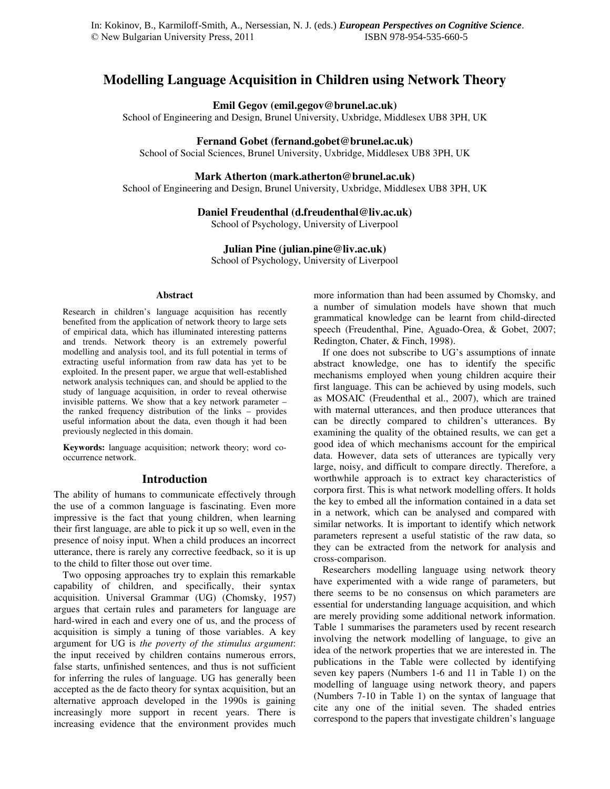# **Modelling Language Acquisition in Children using Network Theory**

# **Emil Gegov (emil.gegov@brunel.ac.uk)**

School of Engineering and Design, Brunel University, Uxbridge, Middlesex UB8 3PH, UK

#### **Fernand Gobet (fernand.gobet@brunel.ac.uk)**

School of Social Sciences, Brunel University, Uxbridge, Middlesex UB8 3PH, UK

# **Mark Atherton (mark.atherton@brunel.ac.uk)**

School of Engineering and Design, Brunel University, Uxbridge, Middlesex UB8 3PH, UK

# **Daniel Freudenthal (d.freudenthal@liv.ac.uk)**

School of Psychology, University of Liverpool

#### **Julian Pine (julian.pine@liv.ac.uk)**

School of Psychology, University of Liverpool

#### **Abstract**

Research in children's language acquisition has recently benefited from the application of network theory to large sets of empirical data, which has illuminated interesting patterns and trends. Network theory is an extremely powerful modelling and analysis tool, and its full potential in terms of extracting useful information from raw data has yet to be exploited. In the present paper, we argue that well-established network analysis techniques can, and should be applied to the study of language acquisition, in order to reveal otherwise invisible patterns. We show that a key network parameter – the ranked frequency distribution of the links – provides useful information about the data, even though it had been previously neglected in this domain.

**Keywords:** language acquisition; network theory; word cooccurrence network.

#### **Introduction**

The ability of humans to communicate effectively through the use of a common language is fascinating. Even more impressive is the fact that young children, when learning their first language, are able to pick it up so well, even in the presence of noisy input. When a child produces an incorrect utterance, there is rarely any corrective feedback, so it is up to the child to filter those out over time.

Two opposing approaches try to explain this remarkable capability of children, and specifically, their syntax acquisition. Universal Grammar (UG) (Chomsky, 1957) argues that certain rules and parameters for language are hard-wired in each and every one of us, and the process of acquisition is simply a tuning of those variables. A key argument for UG is *the poverty of the stimulus argument*: the input received by children contains numerous errors, false starts, unfinished sentences, and thus is not sufficient for inferring the rules of language. UG has generally been accepted as the de facto theory for syntax acquisition, but an alternative approach developed in the 1990s is gaining increasingly more support in recent years. There is increasing evidence that the environment provides much more information than had been assumed by Chomsky, and a number of simulation models have shown that much grammatical knowledge can be learnt from child-directed speech (Freudenthal, Pine, Aguado-Orea, & Gobet, 2007; Redington, Chater, & Finch, 1998).

If one does not subscribe to UG's assumptions of innate abstract knowledge, one has to identify the specific mechanisms employed when young children acquire their first language. This can be achieved by using models, such as MOSAIC (Freudenthal et al., 2007), which are trained with maternal utterances, and then produce utterances that can be directly compared to children's utterances. By examining the quality of the obtained results, we can get a good idea of which mechanisms account for the empirical data. However, data sets of utterances are typically very large, noisy, and difficult to compare directly. Therefore, a worthwhile approach is to extract key characteristics of corpora first. This is what network modelling offers. It holds the key to embed all the information contained in a data set in a network, which can be analysed and compared with similar networks. It is important to identify which network parameters represent a useful statistic of the raw data, so they can be extracted from the network for analysis and cross-comparison.

Researchers modelling language using network theory have experimented with a wide range of parameters, but there seems to be no consensus on which parameters are essential for understanding language acquisition, and which are merely providing some additional network information. Table 1 summarises the parameters used by recent research involving the network modelling of language, to give an idea of the network properties that we are interested in. The publications in the Table were collected by identifying seven key papers (Numbers 1-6 and 11 in Table 1) on the modelling of language using network theory, and papers (Numbers 7-10 in Table 1) on the syntax of language that cite any one of the initial seven. The shaded entries correspond to the papers that investigate children's language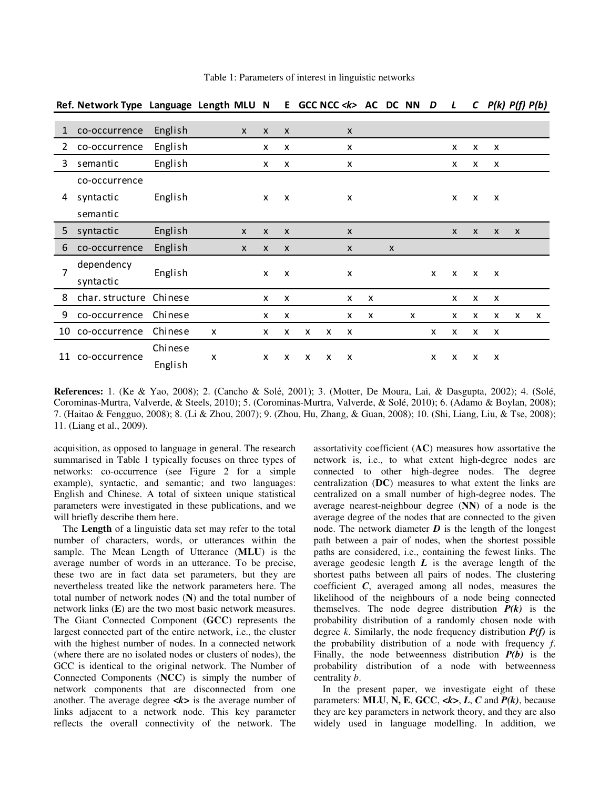|                | Ref. Network Type Language Length MLU N |                    |   |              |              | E.                        |   | GCC NCC < k> AC DC NN     |              |   |                           |   | D            | L                         | $\mathsf{C}$              | $P(k)$ $P(f)$ $P(b)$      |              |              |
|----------------|-----------------------------------------|--------------------|---|--------------|--------------|---------------------------|---|---------------------------|--------------|---|---------------------------|---|--------------|---------------------------|---------------------------|---------------------------|--------------|--------------|
| $\mathbf{1}$   | co-occurrence                           | English            |   | $\mathsf{x}$ | X            | X                         |   |                           | X            |   |                           |   |              |                           |                           |                           |              |              |
| 2              | co-occurrence                           | English            |   |              | x            | x                         |   |                           | X            |   |                           |   |              | X                         | X                         | X                         |              |              |
| 3              | semantic                                | English            |   |              | x            | х                         |   |                           | X            |   |                           |   |              | x                         | x                         | х                         |              |              |
| 4              | co-occurrence                           |                    |   |              |              |                           |   |                           |              |   |                           |   |              |                           |                           |                           |              |              |
|                | syntactic                               | English            |   |              | $\mathsf{x}$ | X                         |   |                           | X            |   |                           |   |              | X                         | $\mathsf{x}$              | X                         |              |              |
|                | semantic                                |                    |   |              |              |                           |   |                           |              |   |                           |   |              |                           |                           |                           |              |              |
| 5              | syntactic                               | English            |   | $\mathsf{x}$ | X            | $\boldsymbol{\mathsf{X}}$ |   |                           | X            |   |                           |   |              | $\mathsf{x}$              | $\boldsymbol{\mathsf{x}}$ | $\boldsymbol{\mathsf{x}}$ | $\mathsf{x}$ |              |
| 6              | co-occurrence                           | English            |   | $\mathsf{x}$ | X            | $\boldsymbol{\mathsf{x}}$ |   |                           | $\mathsf{x}$ |   | $\boldsymbol{\mathsf{X}}$ |   |              |                           |                           |                           |              |              |
| $\overline{7}$ | dependency<br>syntactic                 | English            |   |              | X            | X                         |   |                           | X            |   |                           |   | $\mathsf{x}$ | $\boldsymbol{\mathsf{x}}$ | $\boldsymbol{\mathsf{x}}$ | $\mathsf{x}$              |              |              |
| 8              | char. structure                         | Chinese            |   |              | X            | x                         |   |                           | X            | X |                           |   |              | X                         | X                         | X                         |              |              |
| 9              | co-occurrence                           | Chinese            |   |              | x            | X                         |   |                           | x            | X |                           | X |              | X                         | x                         | X                         | X            | $\mathsf{x}$ |
|                | 10 co-occurrence                        | Chinese            | X |              | x            | x                         | x | x                         | X            |   |                           |   | x            | x                         | x                         | х                         |              |              |
| 11             | co-occurrence                           | Chinese<br>English | x |              | X            | X                         | X | $\boldsymbol{\mathsf{x}}$ | X            |   |                           |   | X            | X                         | X                         | X                         |              |              |

Table 1: Parameters of interest in linguistic networks

**References:** 1. (Ke & Yao, 2008); 2. (Cancho & Solé, 2001); 3. (Motter, De Moura, Lai, & Dasgupta, 2002); 4. (Solé, Corominas-Murtra, Valverde, & Steels, 2010); 5. (Corominas-Murtra, Valverde, & Solé, 2010); 6. (Adamo & Boylan, 2008); 7. (Haitao & Fengguo, 2008); 8. (Li & Zhou, 2007); 9. (Zhou, Hu, Zhang, & Guan, 2008); 10. (Shi, Liang, Liu, & Tse, 2008); 11. (Liang et al., 2009).

acquisition, as opposed to language in general. The research summarised in Table 1 typically focuses on three types of networks: co-occurrence (see Figure 2 for a simple example), syntactic, and semantic; and two languages: English and Chinese. A total of sixteen unique statistical parameters were investigated in these publications, and we will briefly describe them here.

The **Length** of a linguistic data set may refer to the total number of characters, words, or utterances within the sample. The Mean Length of Utterance (**MLU**) is the average number of words in an utterance. To be precise, these two are in fact data set parameters, but they are nevertheless treated like the network parameters here. The total number of network nodes (**N**) and the total number of network links (**E**) are the two most basic network measures. The Giant Connected Component (**GCC**) represents the largest connected part of the entire network, i.e., the cluster with the highest number of nodes. In a connected network (where there are no isolated nodes or clusters of nodes), the GCC is identical to the original network. The Number of Connected Components (**NCC**) is simply the number of network components that are disconnected from one another. The average degree  $\langle k \rangle$  is the average number of links adjacent to a network node. This key parameter reflects the overall connectivity of the network. The

assortativity coefficient (**AC**) measures how assortative the network is, i.e., to what extent high-degree nodes are connected to other high-degree nodes. The degree centralization (**DC**) measures to what extent the links are centralized on a small number of high-degree nodes. The average nearest-neighbour degree (**NN**) of a node is the average degree of the nodes that are connected to the given node. The network diameter  $\boldsymbol{D}$  is the length of the longest path between a pair of nodes, when the shortest possible paths are considered, i.e., containing the fewest links. The average geodesic length *L* is the average length of the shortest paths between all pairs of nodes. The clustering coefficient *C*, averaged among all nodes, measures the likelihood of the neighbours of a node being connected themselves. The node degree distribution  $P(k)$  is the probability distribution of a randomly chosen node with degree *k*. Similarly, the node frequency distribution *P(f)* is the probability distribution of a node with frequency *f*. Finally, the node betweenness distribution *P(b)* is the probability distribution of a node with betweenness centrality *b*.

In the present paper, we investigate eight of these parameters: **MLU**, **N, E**, **GCC**, *<k>*, *L*, *C* and *P(k)*, because they are key parameters in network theory, and they are also widely used in language modelling. In addition, we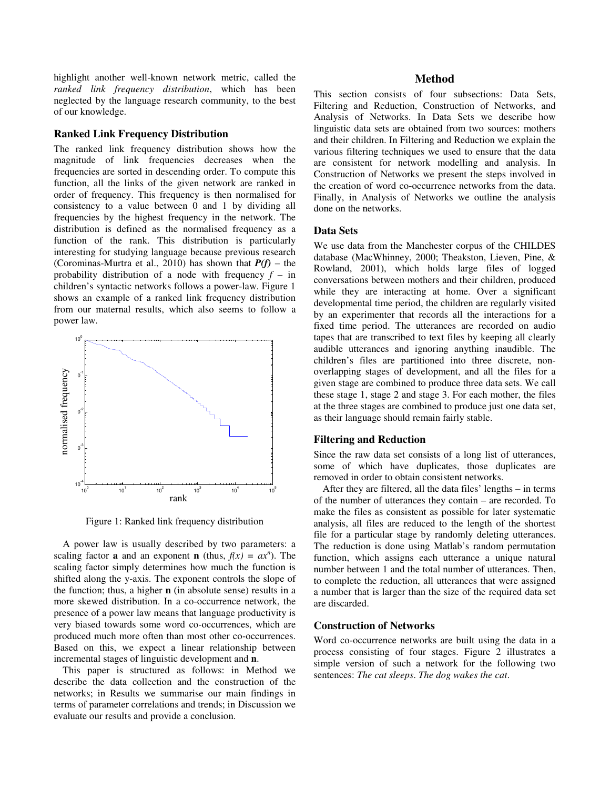highlight another well-known network metric, called the *ranked link frequency distribution*, which has been neglected by the language research community, to the best of our knowledge.

# **Ranked Link Frequency Distribution**

The ranked link frequency distribution shows how the magnitude of link frequencies decreases when the frequencies are sorted in descending order. To compute this function, all the links of the given network are ranked in order of frequency. This frequency is then normalised for consistency to a value between 0 and 1 by dividing all frequencies by the highest frequency in the network. The distribution is defined as the normalised frequency as a function of the rank. This distribution is particularly interesting for studying language because previous research (Corominas-Murtra et al., 2010) has shown that  $P(f)$  – the probability distribution of a node with frequency *f* – in children's syntactic networks follows a power-law. Figure 1 shows an example of a ranked link frequency distribution from our maternal results, which also seems to follow a power law.



Figure 1: Ranked link frequency distribution

A power law is usually described by two parameters: a scaling factor **a** and an exponent **n** (thus,  $f(x) = ax^n$ ). The scaling factor simply determines how much the function is shifted along the y-axis. The exponent controls the slope of the function; thus, a higher **n** (in absolute sense) results in a more skewed distribution. In a co-occurrence network, the presence of a power law means that language productivity is very biased towards some word co-occurrences, which are produced much more often than most other co-occurrences. Based on this, we expect a linear relationship between incremental stages of linguistic development and **n**.

This paper is structured as follows: in Method we describe the data collection and the construction of the networks; in Results we summarise our main findings in terms of parameter correlations and trends; in Discussion we evaluate our results and provide a conclusion.

#### **Method**

This section consists of four subsections: Data Sets, Filtering and Reduction, Construction of Networks, and Analysis of Networks. In Data Sets we describe how linguistic data sets are obtained from two sources: mothers and their children. In Filtering and Reduction we explain the various filtering techniques we used to ensure that the data are consistent for network modelling and analysis. In Construction of Networks we present the steps involved in the creation of word co-occurrence networks from the data. Finally, in Analysis of Networks we outline the analysis done on the networks.

### **Data Sets**

We use data from the Manchester corpus of the CHILDES database (MacWhinney, 2000; Theakston, Lieven, Pine, & Rowland, 2001), which holds large files of logged conversations between mothers and their children, produced while they are interacting at home. Over a significant developmental time period, the children are regularly visited by an experimenter that records all the interactions for a fixed time period. The utterances are recorded on audio tapes that are transcribed to text files by keeping all clearly audible utterances and ignoring anything inaudible. The children's files are partitioned into three discrete, nonoverlapping stages of development, and all the files for a given stage are combined to produce three data sets. We call these stage 1, stage 2 and stage 3. For each mother, the files at the three stages are combined to produce just one data set, as their language should remain fairly stable.

#### **Filtering and Reduction**

Since the raw data set consists of a long list of utterances, some of which have duplicates, those duplicates are removed in order to obtain consistent networks.

After they are filtered, all the data files' lengths – in terms of the number of utterances they contain – are recorded. To make the files as consistent as possible for later systematic analysis, all files are reduced to the length of the shortest file for a particular stage by randomly deleting utterances. The reduction is done using Matlab's random permutation function, which assigns each utterance a unique natural number between 1 and the total number of utterances. Then, to complete the reduction, all utterances that were assigned a number that is larger than the size of the required data set are discarded.

### **Construction of Networks**

Word co-occurrence networks are built using the data in a process consisting of four stages. Figure 2 illustrates a simple version of such a network for the following two sentences: *The cat sleeps*. *The dog wakes the cat*.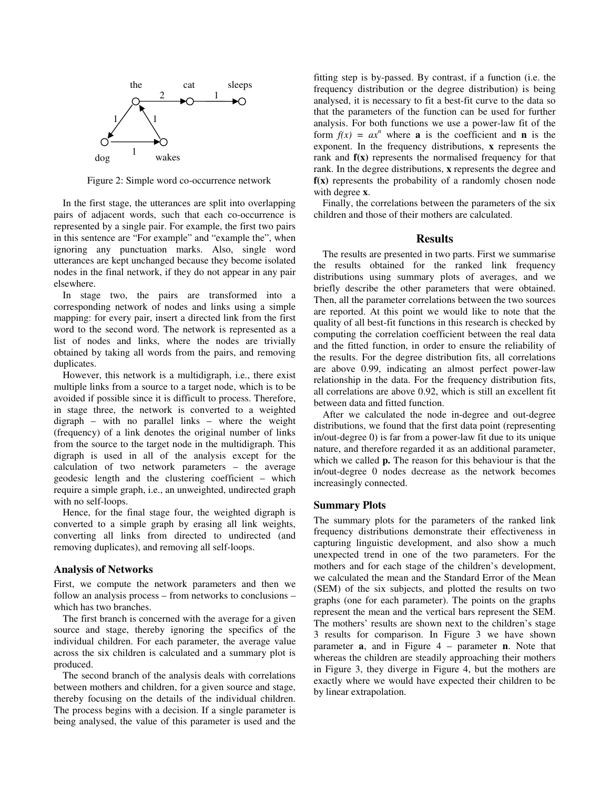

Figure 2: Simple word co-occurrence network

In the first stage, the utterances are split into overlapping pairs of adjacent words, such that each co-occurrence is represented by a single pair. For example, the first two pairs in this sentence are "For example" and "example the", when ignoring any punctuation marks. Also, single word utterances are kept unchanged because they become isolated nodes in the final network, if they do not appear in any pair elsewhere.

In stage two, the pairs are transformed into a corresponding network of nodes and links using a simple mapping: for every pair, insert a directed link from the first word to the second word. The network is represented as a list of nodes and links, where the nodes are trivially obtained by taking all words from the pairs, and removing duplicates.

However, this network is a multidigraph, i.e., there exist multiple links from a source to a target node, which is to be avoided if possible since it is difficult to process. Therefore, in stage three, the network is converted to a weighted digraph – with no parallel links – where the weight (frequency) of a link denotes the original number of links from the source to the target node in the multidigraph. This digraph is used in all of the analysis except for the calculation of two network parameters – the average geodesic length and the clustering coefficient – which require a simple graph, i.e., an unweighted, undirected graph with no self-loops.

Hence, for the final stage four, the weighted digraph is converted to a simple graph by erasing all link weights, converting all links from directed to undirected (and removing duplicates), and removing all self-loops.

#### **Analysis of Networks**

First, we compute the network parameters and then we follow an analysis process – from networks to conclusions – which has two branches.

The first branch is concerned with the average for a given source and stage, thereby ignoring the specifics of the individual children. For each parameter, the average value across the six children is calculated and a summary plot is produced.

The second branch of the analysis deals with correlations between mothers and children, for a given source and stage, thereby focusing on the details of the individual children. The process begins with a decision. If a single parameter is being analysed, the value of this parameter is used and the fitting step is by-passed. By contrast, if a function (i.e. the frequency distribution or the degree distribution) is being analysed, it is necessary to fit a best-fit curve to the data so that the parameters of the function can be used for further analysis. For both functions we use a power-law fit of the form  $f(x) = ax^n$  where **a** is the coefficient and **n** is the exponent. In the frequency distributions, **x** represents the rank and **f(x)** represents the normalised frequency for that rank. In the degree distributions, **x** represents the degree and **f(x)** represents the probability of a randomly chosen node with degree **x**.

Finally, the correlations between the parameters of the six children and those of their mothers are calculated.

#### **Results**

The results are presented in two parts. First we summarise the results obtained for the ranked link frequency distributions using summary plots of averages, and we briefly describe the other parameters that were obtained. Then, all the parameter correlations between the two sources are reported. At this point we would like to note that the quality of all best-fit functions in this research is checked by computing the correlation coefficient between the real data and the fitted function, in order to ensure the reliability of the results. For the degree distribution fits, all correlations are above 0.99, indicating an almost perfect power-law relationship in the data. For the frequency distribution fits, all correlations are above 0.92, which is still an excellent fit between data and fitted function.

After we calculated the node in-degree and out-degree distributions, we found that the first data point (representing in/out-degree 0) is far from a power-law fit due to its unique nature, and therefore regarded it as an additional parameter, which we called **p.** The reason for this behaviour is that the in/out-degree 0 nodes decrease as the network becomes increasingly connected.

#### **Summary Plots**

The summary plots for the parameters of the ranked link frequency distributions demonstrate their effectiveness in capturing linguistic development, and also show a much unexpected trend in one of the two parameters. For the mothers and for each stage of the children's development, we calculated the mean and the Standard Error of the Mean (SEM) of the six subjects, and plotted the results on two graphs (one for each parameter). The points on the graphs represent the mean and the vertical bars represent the SEM. The mothers' results are shown next to the children's stage 3 results for comparison. In Figure 3 we have shown parameter **a**, and in Figure 4 – parameter **n**. Note that whereas the children are steadily approaching their mothers in Figure 3, they diverge in Figure 4, but the mothers are exactly where we would have expected their children to be by linear extrapolation.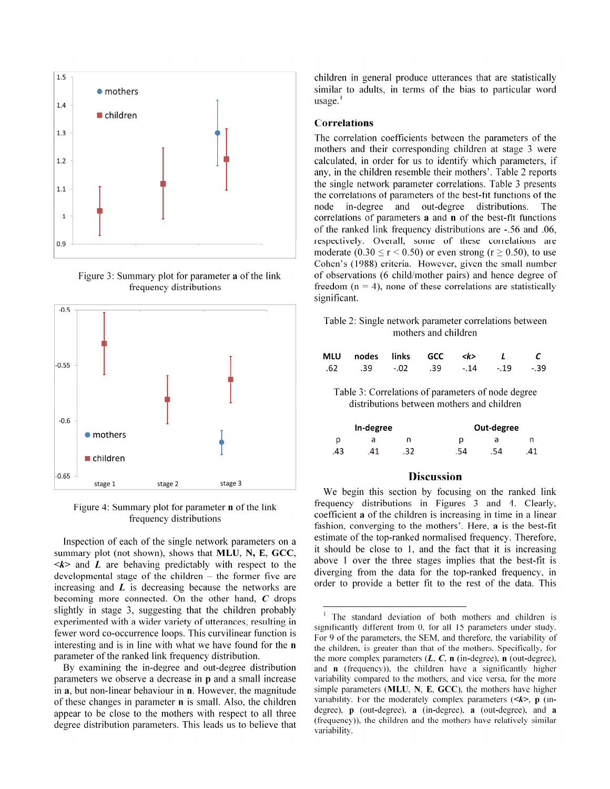

Figure 3: Summary plot for parameter **a** of the link frequency distributions



Figure 4: Summary plot for parameter **n** of the link frequency distributions

Inspection of each of the single network parameters on a summary plot (not shown), shows that **MLU**, **N, E**, **GCC**,  $\langle k \rangle$  and  $\bar{L}$  are behaving predictably with respect to the developmental stage of the children – the former five are increasing and *L* is decreasing because the networks are becoming more connected. On the other hand, *C* drops slightly in stage 3, suggesting that the children probably experimented with a wider variety of utterances, resulting in fewer word co-occurrence loops. This curvilinear function is interesting and is in line with what we have found for the **n** parameter of the ranked link frequency distribution.

By examining the in-degree and out-degree distribution parameters we observe a decrease in **p** and a small increase in **a**, but non-linear behaviour in **n**. However, the magnitude of these changes in parameter **n** is small. Also, the children appear to be close to the mothers with respect to all three degree distribution parameters. This leads us to believe that children in general produce utterances that are statistically similar to adults, in terms of the bias to particular word  $usage.<sup>1</sup>$ 

#### **Correlations**

1

The correlation coefficients between the parameters of the mothers and their corresponding children at stage 3 were calculated, in order for us to identify which parameters, if any, in the children resemble their mothers'. Table 2 reports the single network parameter correlations. Table 3 presents the correlations of parameters of the best-fit functions of the node in-degree and out-degree distributions. The correlations of parameters **a** and **n** of the best-fit functions of the ranked link frequency distributions are -.56 and .06, respectively. Overall, some of these correlations are moderate (0.30  $\le$  r  $\le$  0.50) or even strong (r  $\ge$  0.50), to use Cohen's (1988) criteria. However, given the small number of observations (6 child/mother pairs) and hence degree of freedom  $(n = 4)$ , none of these correlations are statistically significant.

Table 2: Single network parameter correlations between mothers and children

| MLU nodes links GCC <k> L</k>   |  |  |  |
|---------------------------------|--|--|--|
| .62 .39 -.02 .39 -.14 -.19 -.39 |  |  |  |

Table 3: Correlations of parameters of node degree distributions between mothers and children

|    | In-degree | Out-degree |     |    |  |  |  |
|----|-----------|------------|-----|----|--|--|--|
| D  | a         | р          | d   |    |  |  |  |
| 43 | 41        | .54        | .54 | 41 |  |  |  |

# **Discussion**

We begin this section by focusing on the ranked link frequency distributions in Figures 3 and 4. Clearly, coefficient **a** of the children is increasing in time in a linear fashion, converging to the mothers'. Here, **a** is the best-fit estimate of the top-ranked normalised frequency. Therefore, it should be close to 1, and the fact that it is increasing above 1 over the three stages implies that the best-fit is diverging from the data for the top-ranked frequency, in order to provide a better fit to the rest of the data. This

<sup>1</sup> The standard deviation of both mothers and children is significantly different from 0, for all 15 parameters under study. For 9 of the parameters, the SEM, and therefore, the variability of the children, is greater than that of the mothers. Specifically, for the more complex parameters (*L*, *C*, **n** (in-degree), **n** (out-degree), and **n** (frequency)), the children have a significantly higher variability compared to the mothers, and vice versa, for the more simple parameters (**MLU**, **N**, **E**, **GCC**), the mothers have higher variability. For the moderately complex parameters (*<k>*, **p** (indegree), **p** (out-degree), **a** (in-degree), **a** (out-degree), and **a** (frequency)), the children and the mothers have relatively similar variability.